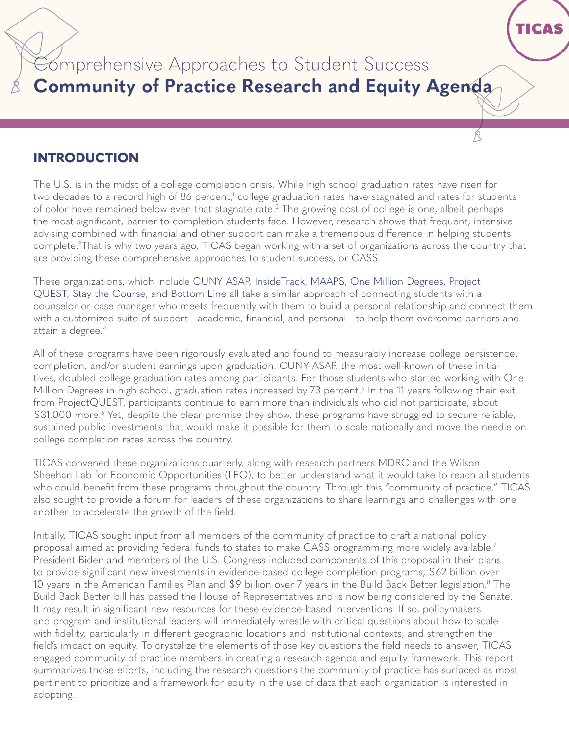Comprehensive Approaches to Student Success **Community of Practice Research and Equity Agenda**  **TICAS** 

## **INTRODUCTION**

The U.S. is in the midst of a college completion crisis. While high school graduation rates have risen for two decades to a record high of 86 percent,<sup>1</sup> college graduation rates have stagnated and rates for students of color have remained below even that stagnate rate.<sup>2</sup> The growing cost of college is one, albeit perhaps the most significant, barrier to completion students face. However, research shows that frequent, intensive advising combined with financial and other support can make a tremendous difference in helping students complete.3 That is why two years ago, TICAS began working with a set of organizations across the country that are providing these comprehensive approaches to student success, or CASS.

These organizations, which include [CUNY ASAP,](https://www1.cuny.edu/sites/asap/join-asap/) [InsideTrack](https://www.insidetrack.org/), [MAAPS,](https://success.gsu.edu/) [One Million Degrees](https://onemilliondegrees.org/), [Project](https://questsa.org/) [QUEST,](https://questsa.org/) [Stay the Course,](https://stay-the-course.org/) and [Bottom Line](https://www.bottomline.org/) all take a similar approach of connecting students with a counselor or case manager who meets frequently with them to build a personal relationship and connect them with a customized suite of support - academic, financial, and personal - to help them overcome barriers and attain a degree.<sup>4</sup>

All of these programs have been rigorously evaluated and found to measurably increase college persistence, completion, and/or student earnings upon graduation. CUNY ASAP, the most well-known of these initiatives, doubled college graduation rates among participants. For those students who started working with One Million Degrees in high school, graduation rates increased by 73 percent. 5 In the 11 years following their exit from ProjectQUEST, participants continue to earn more than individuals who did not participate, about \$31,000 more.<sup>6</sup> Yet, despite the clear promise they show, these programs have struggled to secure reliable, sustained public investments that would make it possible for them to scale nationally and move the needle on college completion rates across the country.

TICAS convened these organizations quarterly, along with research partners MDRC and the Wilson Sheehan Lab for Economic Opportunities (LEO), to better understand what it would take to reach all students who could benefit from these programs throughout the country. Through this "community of practice," TICAS also sought to provide a forum for leaders of these organizations to share learnings and challenges with one another to accelerate the growth of the field.

Initially, TICAS sought input from all members of the community of practice to craft a national policy proposal aimed at providing federal funds to states to make CASS programming more widely available.7 President Biden and members of the U.S. Congress included components of this proposal in their plans to provide significant new investments in evidence-based college completion programs, \$62 billion over 10 years in the American Families Plan and \$9 billion over 7 years in the Build Back Better legislation.8 The Build Back Better bill has passed the House of Representatives and is now being considered by the Senate. It may result in significant new resources for these evidence-based interventions. If so, policymakers and program and institutional leaders will immediately wrestle with critical questions about how to scale with fidelity, particularly in different geographic locations and institutional contexts, and strengthen the field's impact on equity. To crystalize the elements of those key questions the field needs to answer, TICAS engaged community of practice members in creating a research agenda and equity framework. This report summarizes those efforts, including the research questions the community of practice has surfaced as most pertinent to prioritize and a framework for equity in the use of data that each organization is interested in adopting.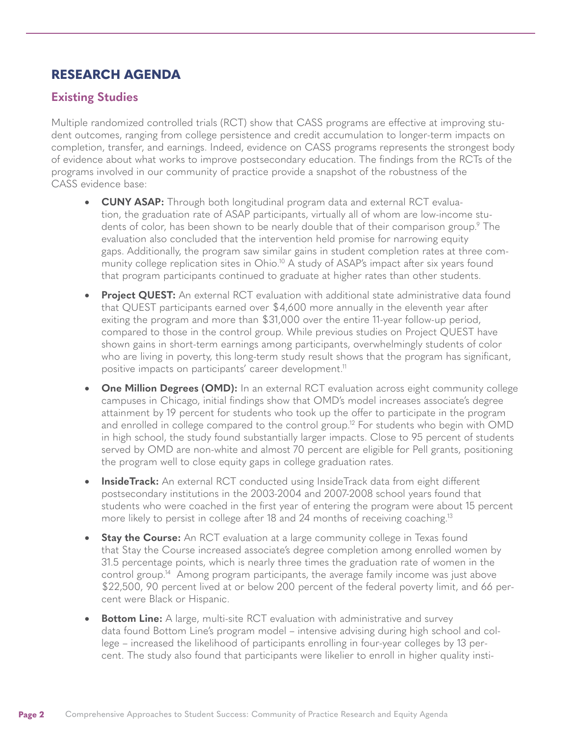# **RESEARCH AGENDA**

### **Existing Studies**

Multiple randomized controlled trials (RCT) show that CASS programs are effective at improving student outcomes, ranging from college persistence and credit accumulation to longer-term impacts on completion, transfer, and earnings. Indeed, evidence on CASS programs represents the strongest body of evidence about what works to improve postsecondary education. The findings from the RCTs of the programs involved in our community of practice provide a snapshot of the robustness of the CASS evidence base:

- • **CUNY ASAP:** Through both longitudinal program data and external RCT evaluation, the graduation rate of ASAP participants, virtually all of whom are low-income students of color, has been shown to be nearly double that of their comparison group.<sup>9</sup> The evaluation also concluded that the intervention held promise for narrowing equity gaps. Additionally, the program saw similar gains in student completion rates at three community college replication sites in Ohio.<sup>10</sup> A study of ASAP's impact after six years found that program participants continued to graduate at higher rates than other students.
- **Project QUEST:** An external RCT evaluation with additional state administrative data found that QUEST participants earned over  $$4,600$  more annually in the eleventh year after exiting the program and more than \$31,000 over the entire 11-year follow-up period, compared to those in the control group. While previous studies on Project QUEST have shown gains in short-term earnings among participants, overwhelmingly students of color who are living in poverty, this long-term study result shows that the program has significant, positive impacts on participants' career development.<sup>11</sup>
- **One Million Degrees (OMD):** In an external RCT evaluation across eight community college campuses in Chicago, initial findings show that OMD's model increases associate's degree attainment by 19 percent for students who took up the offer to participate in the program and enrolled in college compared to the control group.<sup>12</sup> For students who begin with OMD in high school, the study found substantially larger impacts. Close to 95 percent of students served by OMD are non-white and almost 70 percent are eligible for Pell grants, positioning the program well to close equity gaps in college graduation rates.
- **•** InsideTrack: An external RCT conducted using InsideTrack data from eight different postsecondary institutions in the 2003-2004 and 2007-2008 school years found that students who were coached in the first year of entering the program were about 15 percent more likely to persist in college after 18 and 24 months of receiving coaching.<sup>13</sup>
- **Stay the Course:** An RCT evaluation at a large community college in Texas found that Stay the Course increased associate's degree completion among enrolled women by 31.5 percentage points, which is nearly three times the graduation rate of women in the control group.14 Among program participants, the average family income was just above \$22,500, 90 percent lived at or below 200 percent of the federal poverty limit, and 66 percent were Black or Hispanic.
- **Bottom Line:** A large, multi-site RCT evaluation with administrative and survey data found Bottom Line's program model – intensive advising during high school and college – increased the likelihood of participants enrolling in four-year colleges by 13 percent. The study also found that participants were likelier to enroll in higher quality insti-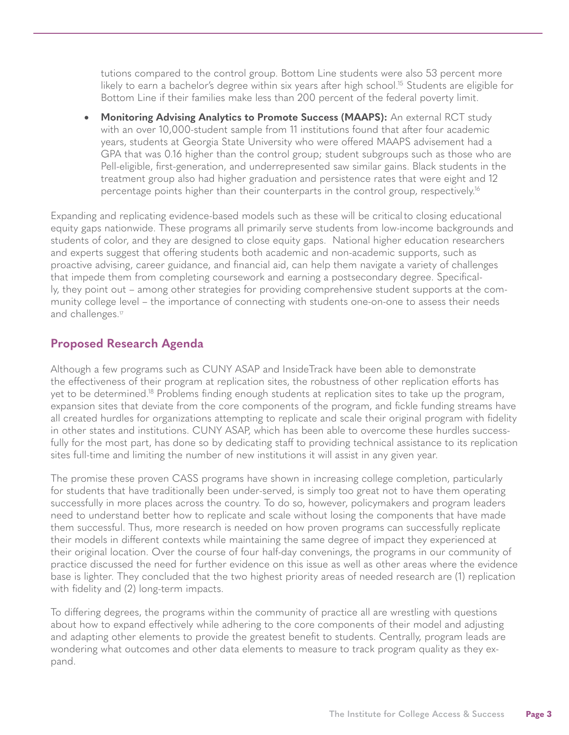tutions compared to the control group. Bottom Line students were also 53 percent more likely to earn a bachelor's degree within six years after high school.<sup>15</sup> Students are eligible for Bottom Line if their families make less than 200 percent of the federal poverty limit.

**Monitoring Advising Analytics to Promote Success (MAAPS):** An external RCT study with an over 10,000-student sample from 11 institutions found that after four academic years, students at Georgia State University who were offered MAAPS advisement had a GPA that was 0.16 higher than the control group; student subgroups such as those who are Pell-eligible, first-generation, and underrepresented saw similar gains. Black students in the treatment group also had higher graduation and persistence rates that were eight and 12 percentage points higher than their counterparts in the control group, respectively.16

Expanding and replicating evidence-based models such as these will be criticalto closing educational equity gaps nationwide. These programs all primarily serve students from low-income backgrounds and students of color, and they are designed to close equity gaps. National higher education researchers and experts suggest that offering students both academic and non-academic supports, such as proactive advising, career guidance, and financial aid, can help them navigate a variety of challenges that impede them from completing coursework and earning a postsecondary degree. Specifically, they point out – among other strategies for providing comprehensive student supports at the community college level – the importance of connecting with students one-on-one to assess their needs and challenges.<sup>17</sup>

### **Proposed Research Agenda**

Although a few programs such as CUNY ASAP and InsideTrack have been able to demonstrate the effectiveness of their program at replication sites, the robustness of other replication efforts has yet to be determined.18 Problems finding enough students at replication sites to take up the program, expansion sites that deviate from the core components of the program, and fickle funding streams have all created hurdles for organizations attempting to replicate and scale their original program with fidelity in other states and institutions. CUNY ASAP, which has been able to overcome these hurdles successfully for the most part, has done so by dedicating staff to providing technical assistance to its replication sites full-time and limiting the number of new institutions it will assist in any given year.

The promise these proven CASS programs have shown in increasing college completion, particularly for students that have traditionally been under-served, is simply too great not to have them operating successfully in more places across the country. To do so, however, policymakers and program leaders need to understand better how to replicate and scale without losing the components that have made them successful. Thus, more research is needed on how proven programs can successfully replicate their models in different contexts while maintaining the same degree of impact they experienced at their original location. Over the course of four half-day convenings, the programs in our community of practice discussed the need for further evidence on this issue as well as other areas where the evidence base is lighter. They concluded that the two highest priority areas of needed research are (1) replication with fidelity and (2) long-term impacts.

To differing degrees, the programs within the community of practice all are wrestling with questions about how to expand effectively while adhering to the core components of their model and adjusting and adapting other elements to provide the greatest benefit to students. Centrally, program leads are wondering what outcomes and other data elements to measure to track program quality as they expand.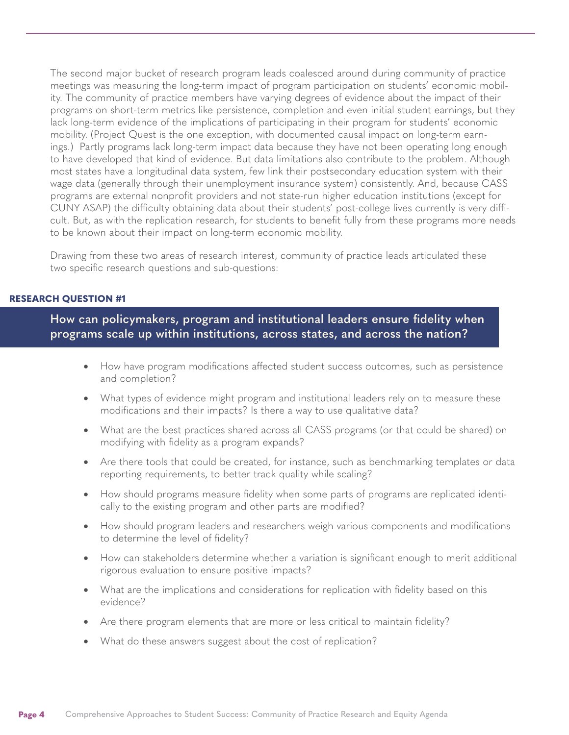The second major bucket of research program leads coalesced around during community of practice meetings was measuring the long-term impact of program participation on students' economic mobility. The community of practice members have varying degrees of evidence about the impact of their programs on short-term metrics like persistence, completion and even initial student earnings, but they lack long-term evidence of the implications of participating in their program for students' economic mobility. (Project Quest is the one exception, with documented causal impact on long-term earnings.) Partly programs lack long-term impact data because they have not been operating long enough to have developed that kind of evidence. But data limitations also contribute to the problem. Although most states have a longitudinal data system, few link their postsecondary education system with their wage data (generally through their unemployment insurance system) consistently. And, because CASS programs are external nonprofit providers and not state-run higher education institutions (except for CUNY ASAP) the difficulty obtaining data about their students' post-college lives currently is very difficult. But, as with the replication research, for students to benefit fully from these programs more needs to be known about their impact on long-term economic mobility.

Drawing from these two areas of research interest, community of practice leads articulated these two specific research questions and sub-questions:

#### **RESEARCH QUESTION #1**

**How can policymakers, program and institutional leaders ensure fidelity when programs scale up within institutions, across states, and across the nation?** 

- How have program modifications affected student success outcomes, such as persistence and completion?
- What types of evidence might program and institutional leaders rely on to measure these modifications and their impacts? Is there a way to use qualitative data?
- What are the best practices shared across all CASS programs (or that could be shared) on modifying with fidelity as a program expands?
- Are there tools that could be created, for instance, such as benchmarking templates or data reporting requirements, to better track quality while scaling?
- How should programs measure fidelity when some parts of programs are replicated identically to the existing program and other parts are modified?
- How should program leaders and researchers weigh various components and modifications to determine the level of fidelity?
- How can stakeholders determine whether a variation is significant enough to merit additional rigorous evaluation to ensure positive impacts?
- What are the implications and considerations for replication with fidelity based on this evidence?
- Are there program elements that are more or less critical to maintain fidelity?
- What do these answers suggest about the cost of replication?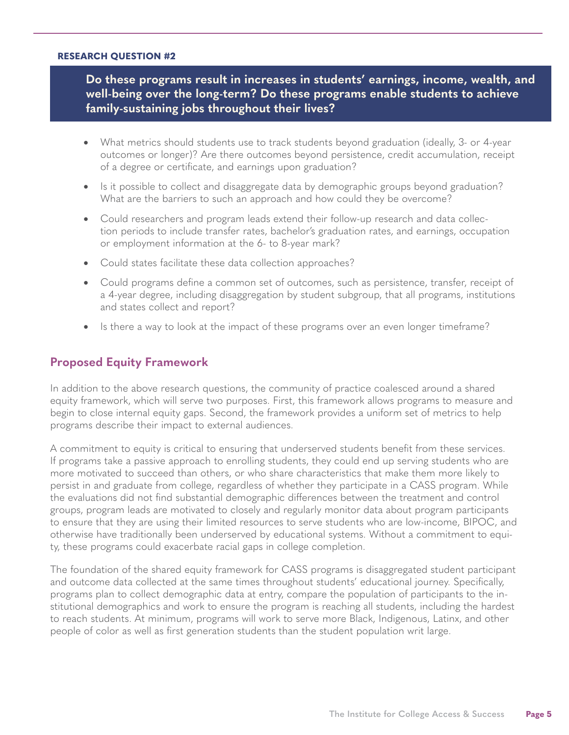#### **RESEARCH QUESTION #2**

**Do these programs result in increases in students' earnings, income, wealth, and well-being over the long-term? Do these programs enable students to achieve family-sustaining jobs throughout their lives?** 

- What metrics should students use to track students beyond graduation (ideally, 3- or 4-year outcomes or longer)? Are there outcomes beyond persistence, credit accumulation, receipt of a degree or certificate, and earnings upon graduation?
- Is it possible to collect and disaggregate data by demographic groups beyond graduation? What are the barriers to such an approach and how could they be overcome?
- Could researchers and program leads extend their follow-up research and data collection periods to include transfer rates, bachelor's graduation rates, and earnings, occupation or employment information at the 6- to 8-year mark?
- Could states facilitate these data collection approaches?
- Could programs define a common set of outcomes, such as persistence, transfer, receipt of a 4-year degree, including disaggregation by student subgroup, that all programs, institutions and states collect and report?
- Is there a way to look at the impact of these programs over an even longer timeframe?

### **Proposed Equity Framework**

In addition to the above research questions, the community of practice coalesced around a shared equity framework, which will serve two purposes. First, this framework allows programs to measure and begin to close internal equity gaps. Second, the framework provides a uniform set of metrics to help programs describe their impact to external audiences.

A commitment to equity is critical to ensuring that underserved students benefit from these services. If programs take a passive approach to enrolling students, they could end up serving students who are more motivated to succeed than others, or who share characteristics that make them more likely to persist in and graduate from college, regardless of whether they participate in a CASS program. While the evaluations did not find substantial demographic differences between the treatment and control groups, program leads are motivated to closely and regularly monitor data about program participants to ensure that they are using their limited resources to serve students who are low-income, BIPOC, and otherwise have traditionally been underserved by educational systems. Without a commitment to equity, these programs could exacerbate racial gaps in college completion.

The foundation of the shared equity framework for CASS programs is disaggregated student participant and outcome data collected at the same times throughout students' educational journey. Specifically, programs plan to collect demographic data at entry, compare the population of participants to the institutional demographics and work to ensure the program is reaching all students, including the hardest to reach students. At minimum, programs will work to serve more Black, Indigenous, Latinx, and other people of color as well as first generation students than the student population writ large.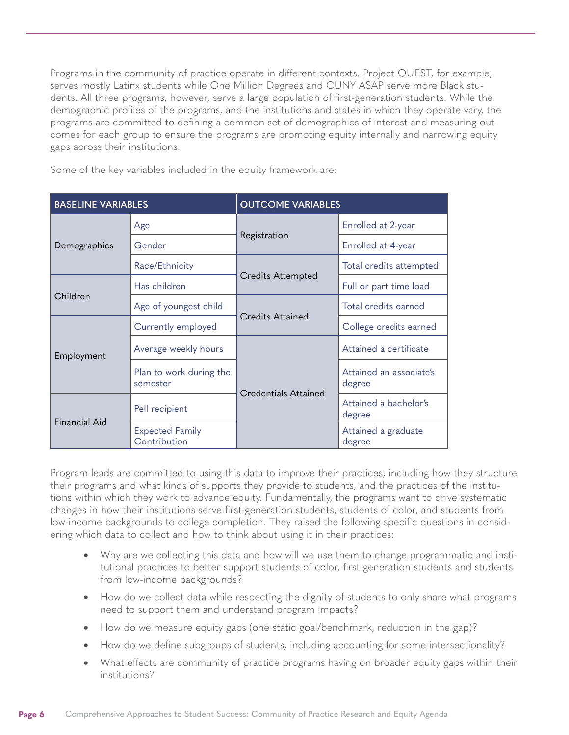Programs in the community of practice operate in different contexts. Project QUEST, for example, serves mostly Latinx students while One Million Degrees and CUNY ASAP serve more Black students. All three programs, however, serve a large population of first-generation students. While the demographic profiles of the programs, and the institutions and states in which they operate vary, the programs are committed to defining a common set of demographics of interest and measuring outcomes for each group to ensure the programs are promoting equity internally and narrowing equity gaps across their institutions.

Some of the key variables included in the equity framework are:

| <b>BASELINE VARIABLES</b> |                                        | <b>OUTCOME VARIABLES</b>    |                                   |
|---------------------------|----------------------------------------|-----------------------------|-----------------------------------|
| Demographics              | Age                                    | Registration                | Enrolled at 2-year                |
|                           | Gender                                 |                             | Enrolled at 4-year                |
|                           | Race/Ethnicity                         | <b>Credits Attempted</b>    | Total credits attempted           |
| Children                  | Has children                           |                             | Full or part time load            |
|                           | Age of youngest child                  | <b>Credits Attained</b>     | Total credits earned              |
| Employment                | Currently employed                     |                             | College credits earned            |
|                           | Average weekly hours                   | <b>Credentials Attained</b> | Attained a certificate            |
|                           | Plan to work during the<br>semester    |                             | Attained an associate's<br>degree |
| <b>Financial Aid</b>      | Pell recipient                         |                             | Attained a bachelor's<br>degree   |
|                           | <b>Expected Family</b><br>Contribution |                             | Attained a graduate<br>degree     |

Program leads are committed to using this data to improve their practices, including how they structure their programs and what kinds of supports they provide to students, and the practices of the institutions within which they work to advance equity. Fundamentally, the programs want to drive systematic changes in how their institutions serve first-generation students, students of color, and students from low-income backgrounds to college completion. They raised the following specific questions in considering which data to collect and how to think about using it in their practices:

- Why are we collecting this data and how will we use them to change programmatic and institutional practices to better support students of color, first generation students and students from low-income backgrounds?
- How do we collect data while respecting the dignity of students to only share what programs need to support them and understand program impacts?
- How do we measure equity gaps (one static goal/benchmark, reduction in the gap)?
- How do we define subgroups of students, including accounting for some intersectionality?
- What effects are community of practice programs having on broader equity gaps within their institutions?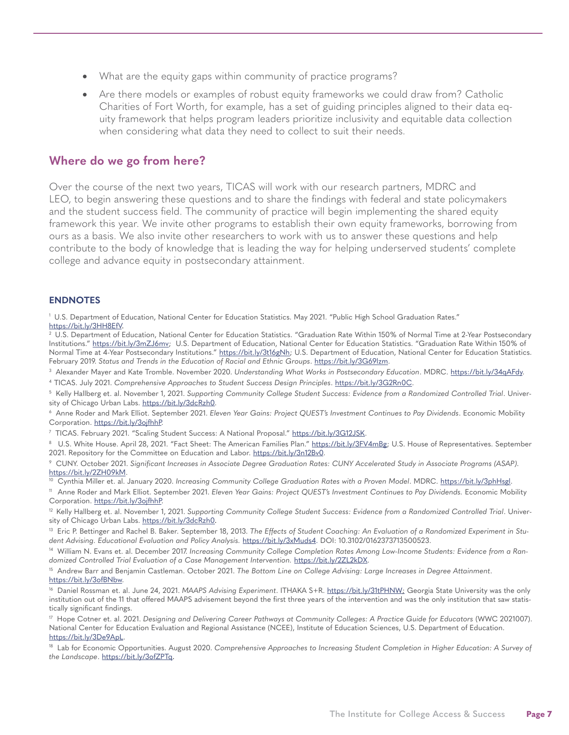- What are the equity gaps within community of practice programs?
- Are there models or examples of robust equity frameworks we could draw from? Catholic Charities of Fort Worth, for example, has a set of guiding principles aligned to their data equity framework that helps program leaders prioritize inclusivity and equitable data collection when considering what data they need to collect to suit their needs.

### **Where do we go from here?**

Over the course of the next two years, TICAS will work with our research partners, MDRC and LEO, to begin answering these questions and to share the findings with federal and state policymakers and the student success field. The community of practice will begin implementing the shared equity framework this year. We invite other programs to establish their own equity frameworks, borrowing from ours as a basis. We also invite other researchers to work with us to answer these questions and help contribute to the body of knowledge that is leading the way for helping underserved students' complete college and advance equity in postsecondary attainment.

#### **ENDNOTES**

1 U.S. Department of Education, National Center for Education Statistics. May 2021. "Public High School Graduation Rates." <https://bit.ly/3HH8EfV>.

2 U.S. Department of Education, National Center for Education Statistics. "Graduation Rate Within 150% of Normal Time at 2-Year Postsecondary Institutions." [https://bit.ly/3mZJ6mv;](https://bit.ly/3mZJ6mv) U.S. Department of Education, National Center for Education Statistics. "Graduation Rate Within 150% of Normal Time at 4-Year Postsecondary Institutions." [https://bit.ly/3t16gNh;](https://bit.ly/3t16gNh) U.S. Department of Education, National Center for Education Statistics. February 2019. *Status and Trends in the Education of Racial and Ethnic Groups*. [https://bit.ly/3G69lzm.](https://bit.ly/3G69lzm)

<sup>3</sup> Alexander Mayer and Kate Tromble. November 2020. *Understanding What Works in Postsecondary Education*. MDRC. <u>https://bit.ly/34qAFdy</u>. 4 TICAS. July 2021. *Comprehensive Approaches to Student Success Design Principles*. <https://bit.ly/3G2Rn0C>.

5 Kelly Hallberg et. al. November 1, 2021. *Supporting Community College Student Success: Evidence from a Randomized Controlled Trial*. University of Chicago Urban Labs.<https://bit.ly/3dcRzh0>.

6 Anne Roder and Mark Elliot. September 2021. *Eleven Year Gains: Project QUEST's Investment Continues to Pay Dividends*. Economic Mobility Corporation. [https://bit.ly/3ojfhhP.](https://bit.ly/3ojfhhP)

<sup>7</sup> TICAS. February 2021. "Scaling Student Success: A National Proposal." [https://bit.ly/3G12JSK.](https://bit.ly/3G12JSK)

<sup>8</sup> U.S. White House. April 28, 2021. "Fact Sheet: The American Families Plan." <u>https://bit.ly/3FV4mB</u>g; U.S. House of Representatives. September 2021. Repository for the Committee on Education and Labor.<https://bit.ly/3n12Bv0>.

9 CUNY. October 2021. *Significant Increases in Associate Degree Graduation Rates: CUNY Accelerated Study in Associate Programs (ASAP)*. <https://bit.ly/2ZH09kM>.

<sup>10</sup> Cynthia Miller et. al. January 2020. Increasing Community College Graduation Rates with a Proven Model. MDRC. [https://bit.ly/3phHsgl.](https://bit.ly/3phHsgl)

<sup>11</sup> Anne Roder and Mark Elliot. September 2021. *Eleven Year Gains: Project QUEST's Investment Continues to Pay Dividends. Economic Mobility* Corporation. [https://bit.ly/3ojfhhP.](https://bit.ly/3ojfhhP)

<sup>12</sup> Kelly Hallberg et. al. November 1, 2021. Supporting Community College Student Success: Evidence from a Randomized Controlled Trial. University of Chicago Urban Labs.<https://bit.ly/3dcRzh0>.

<sup>13</sup> Eric P. Bettinger and Rachel B. Baker. September 18, 2013. The Effects of Student Coaching: An Evaluation of a Randomized Experiment in Student Advising. Educational Evaluation and Policy Analysis. <https://bit.ly/3xMuds4>. DOI: 10.3102/0162373713500523.

14 William N. Evans et. al. December 2017. *Increasing Community College Completion Rates Among Low-Income Students: Evidence from a Ran*domized Controlled Trial Evaluation of a Case Management Intervention. [https://bit.ly/2ZL2kDX.](https://bit.ly/2ZL2kDX)

15 Andrew Barr and Benjamin Castleman. October 2021. *The Bottom Line on College Advising: Large Increases in Degree Attainment*. <https://bit.ly/3ofBNbw>.

16 Daniel Rossman et. al. June 24, 2021. *MAAPS Advising Experiment*. ITHAKA S+R.<https://bit.ly/31tPHNW;>Georgia State University was the only institution out of the 11 that offered MAAPS advisement beyond the first three years of the intervention and was the only institution that saw statistically significant findings.

17 Hope Cotner et. al. 2021. *Designing and Delivering Career Pathways at Community Colleges: A Practice Guide for Educators* (WWC 2021007). National Center for Education Evaluation and Regional Assistance (NCEE), Institute of Education Sciences, U.S. Department of Education. [https://bit.ly/3De9ApL.](https://bit.ly/3De9ApL)

<sup>18</sup> Lab for Economic Opportunities. August 2020. Comprehensive Approaches to Increasing Student Completion in Higher Education: A Survey of *the Landscape*. [https://bit.ly/3ofZPTq.](https://bit.ly/3ofZPTq)